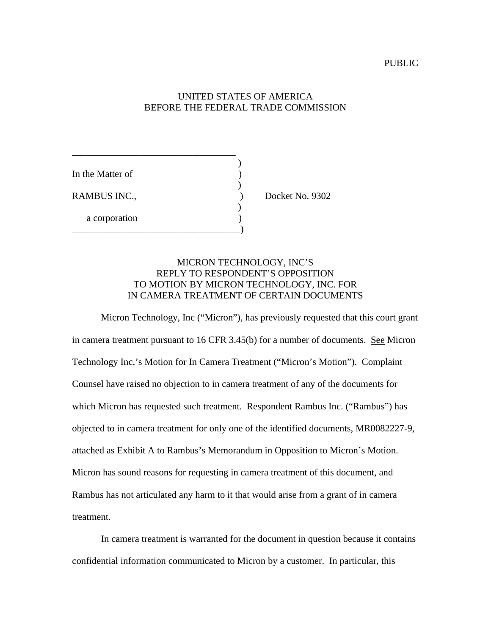## UNITED STATES OF AMERICA BEFORE THE FEDERAL TRADE COMMISSION

| In the Matter of |  |
|------------------|--|
| RAMBUS INC.,     |  |
|                  |  |
| a corporation    |  |

\_\_\_\_\_\_\_\_\_\_\_\_\_\_\_\_\_\_\_\_\_\_\_\_\_\_\_\_\_\_\_\_\_\_

) Docket No. 9302

## MICRON TECHNOLOGY, INC'S REPLY TO RESPONDENT'S OPPOSITION TO MOTION BY MICRON TECHNOLOGY, INC. FOR IN CAMERA TREATMENT OF CERTAIN DOCUMENTS

Micron Technology, Inc ("Micron"), has previously requested that this court grant in camera treatment pursuant to 16 CFR 3.45(b) for a number of documents. See Micron Technology Inc.'s Motion for In Camera Treatment ("Micron's Motion"). Complaint Counsel have raised no objection to in camera treatment of any of the documents for which Micron has requested such treatment. Respondent Rambus Inc. ("Rambus") has objected to in camera treatment for only one of the identified documents, MR0082227-9, attached as Exhibit A to Rambus's Memorandum in Opposition to Micron's Motion. Micron has sound reasons for requesting in camera treatment of this document, and Rambus has not articulated any harm to it that would arise from a grant of in camera treatment.

In camera treatment is warranted for the document in question because it contains confidential information communicated to Micron by a customer. In particular, this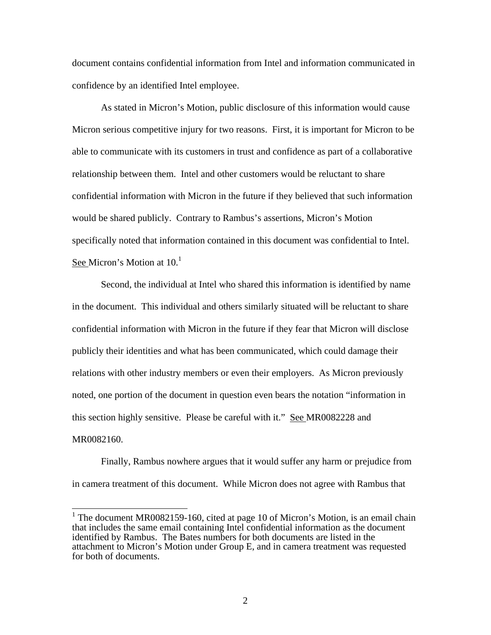document contains confidential information from Intel and information communicated in confidence by an identified Intel employee.

As stated in Micron's Motion, public disclosure of this information would cause Micron serious competitive injury for two reasons. First, it is important for Micron to be able to communicate with its customers in trust and confidence as part of a collaborative relationship between them. Intel and other customers would be reluctant to share confidential information with Micron in the future if they believed that such information would be shared publicly. Contrary to Rambus's assertions, Micron's Motion specifically noted that information contained in this document was confidential to Intel. See Micron's Motion at 10.<sup>1</sup>

Second, the individual at Intel who shared this information is identified by name in the document. This individual and others similarly situated will be reluctant to share confidential information with Micron in the future if they fear that Micron will disclose publicly their identities and what has been communicated, which could damage their relations with other industry members or even their employers. As Micron previously noted, one portion of the document in question even bears the notation "information in this section highly sensitive. Please be careful with it." See MR0082228 and MR0082160.

Finally, Rambus nowhere argues that it would suffer any harm or prejudice from in camera treatment of this document. While Micron does not agree with Rambus that

<sup>&</sup>lt;sup>1</sup> The document MR0082159-160, cited at page 10 of Micron's Motion, is an email chain that includes the same email containing Intel confidential information as the document identified by Rambus. The Bates numbers for both documents are listed in the attachment to Micron's Motion under Group E, and in camera treatment was requested for both of documents.